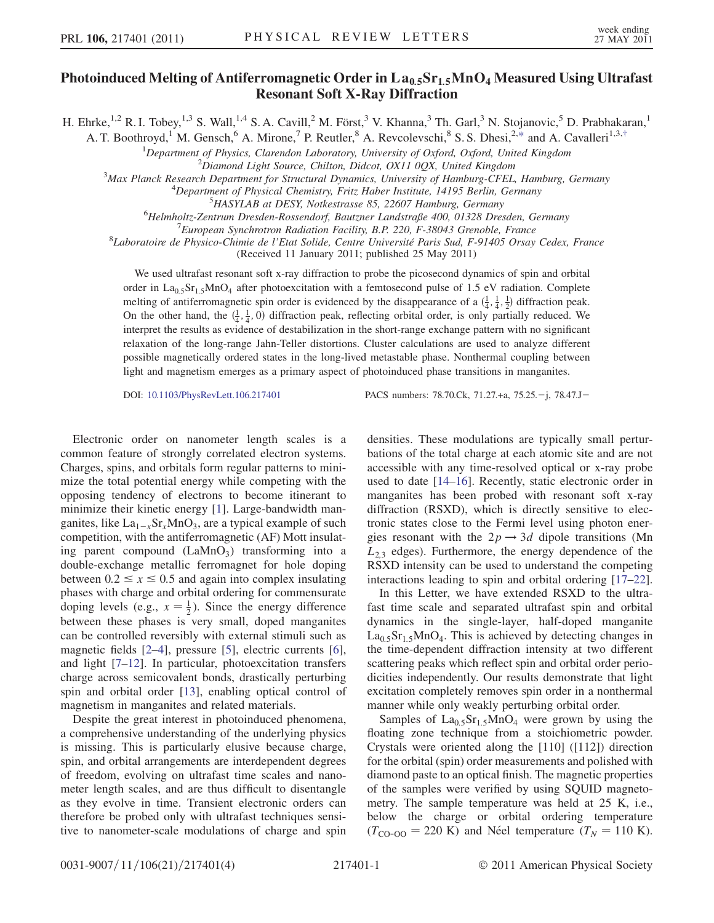## Photoinduced Melting of Antiferromagnetic Order in La<sub>0.5</sub>Sr<sub>1.5</sub>MnO<sub>4</sub> Measured Using Ultrafast Resonant Soft X-Ray Diffraction

<span id="page-0-0"></span>H. Ehrke,<sup>1,2</sup> R. I. Tobey,<sup>1,3</sup> S. Wall,<sup>1,4</sup> S. A. Cavill,<sup>2</sup> M. Först,<sup>3</sup> V. Khanna,<sup>3</sup> Th. Garl,<sup>3</sup> N. Stojanovic,<sup>5</sup> D. Prabhakaran,<sup>1</sup>

A. T. Boothroyd,<sup>1</sup> M. Gensch,<sup>6</sup> A. Mirone,<sup>7</sup> P. Reutler,<sup>8</sup> A. Revcolevschi,<sup>8</sup> S. S. Dhesi,<sup>2,[\\*](#page-3-0)</sup> and A. Cavalleri<sup>1,3[,†](#page-3-1)</sup>

<sup>1</sup>Department of Physics, Clarendon Laboratory, University of Oxford, Oxford, United Kingdom<br><sup>2</sup>Digmond Light Source, Chilton, Didcet, OY11,00X, United Kingdom

 ${}^{2}$ Diamond Light Source, Chilton, Didcot, OX11 0QX, United Kingdom

<sup>3</sup>Max Planck Research Department for Structural Dynamics, University of Hamburg-CFEL, Hamburg, Germany

 $^{4}$ Department of Physical Chemistry, Fritz Haber Institute, 14195 Berlin, Germany

<sup>5</sup>HASYLAB at DESY, Notkestrasse 85, 22607 Hamburg, Germany

<sup>6</sup>Helmholtz-Zentrum Dresden-Rossendorf, Bautzner Landstraße 400, 01328 Dresden, Germany

 $E$ uropean Synchrotron Radiation Facility, B.P. 220, F-38043 Grenoble, France

8Laboratoire de Physico-Chimie de l'Etat Solide, Centre Université Paris Sud, F-91405 Orsay Cedex, France

(Received 11 January 2011; published 25 May 2011)

We used ultrafast resonant soft x-ray diffraction to probe the picosecond dynamics of spin and orbital order in La<sub>0.5</sub>Sr<sub>1.5</sub>MnO<sub>4</sub> after photoexcitation with a femtosecond pulse of 1.5 eV radiation. Complete melting of antiferromagnetic spin order is evidenced by the disappearance of a  $(\frac{1}{4}, \frac{1}{4}, \frac{1}{2})$  diffraction peak. On the other hand, the  $(\frac{1}{4}, \frac{1}{4}, 0)$  diffraction peak, reflecting orbital order, is only partially reduced. We interpret the results as evidence of destabilization in the short-range exchange pattern with no significant relaxation of the long-range Jahn-Teller distortions. Cluster calculations are used to analyze different possible magnetically ordered states in the long-lived metastable phase. Nonthermal coupling between light and magnetism emerges as a primary aspect of photoinduced phase transitions in manganites.

DOI: [10.1103/PhysRevLett.106.217401](http://dx.doi.org/10.1103/PhysRevLett.106.217401) PACS numbers: 78.70.Ck, 71.27.+a, 75.25.-j, 78.47.J-

Electronic order on nanometer length scales is a common feature of strongly correlated electron systems. Charges, spins, and orbitals form regular patterns to minimize the total potential energy while competing with the opposing tendency of electrons to become itinerant to minimize their kinetic energy [\[1](#page-3-2)]. Large-bandwidth manganites, like  $\text{La}_{1-x}\text{Sr}_x\text{MnO}_3$ , are a typical example of such competition, with the antiferromagnetic (AF) Mott insulating parent compound  $(LaMnO<sub>3</sub>)$  transforming into a double-exchange metallic ferromagnet for hole doping between  $0.2 \le x \le 0.5$  and again into complex insulating phases with charge and orbital ordering for commensurate doping levels (e.g.,  $x = \frac{1}{2}$ ). Since the energy difference between these phases is very small, doped manganites can be controlled reversibly with external stimuli such as magnetic fields [\[2](#page-3-3)[–4\]](#page-3-4), pressure [[5\]](#page-3-5), electric currents [[6\]](#page-3-6), and light [\[7](#page-3-7)–[12\]](#page-3-8). In particular, photoexcitation transfers charge across semicovalent bonds, drastically perturbing spin and orbital order [\[13\]](#page-3-9), enabling optical control of magnetism in manganites and related materials.

Despite the great interest in photoinduced phenomena, a comprehensive understanding of the underlying physics is missing. This is particularly elusive because charge, spin, and orbital arrangements are interdependent degrees of freedom, evolving on ultrafast time scales and nanometer length scales, and are thus difficult to disentangle as they evolve in time. Transient electronic orders can therefore be probed only with ultrafast techniques sensitive to nanometer-scale modulations of charge and spin densities. These modulations are typically small perturbations of the total charge at each atomic site and are not accessible with any time-resolved optical or x-ray probe used to date [\[14](#page-3-10)–[16](#page-3-11)]. Recently, static electronic order in manganites has been probed with resonant soft x-ray diffraction (RSXD), which is directly sensitive to electronic states close to the Fermi level using photon energies resonant with the  $2p \rightarrow 3d$  dipole transitions (Mn  $L_{2,3}$  edges). Furthermore, the energy dependence of the RSXD intensity can be used to understand the competing interactions leading to spin and orbital ordering [[17](#page-3-12)–[22\]](#page-3-13).

In this Letter, we have extended RSXD to the ultrafast time scale and separated ultrafast spin and orbital dynamics in the single-layer, half-doped manganite  $La<sub>0.5</sub>Sr<sub>1.5</sub>MnO<sub>4</sub>$ . This is achieved by detecting changes in the time-dependent diffraction intensity at two different scattering peaks which reflect spin and orbital order periodicities independently. Our results demonstrate that light excitation completely removes spin order in a nonthermal manner while only weakly perturbing orbital order.

Samples of  $La<sub>0.5</sub>Sr<sub>1.5</sub>MnO<sub>4</sub>$  were grown by using the floating zone technique from a stoichiometric powder. Crystals were oriented along the [110] ([112]) direction for the orbital (spin) order measurements and polished with diamond paste to an optical finish. The magnetic properties of the samples were verified by using SQUID magnetometry. The sample temperature was held at 25 K, i.e., below the charge or orbital ordering temperature  $(T_{\text{CO-OO}} = 220 \text{ K})$  and Néel temperature  $(T_N = 110 \text{ K})$ .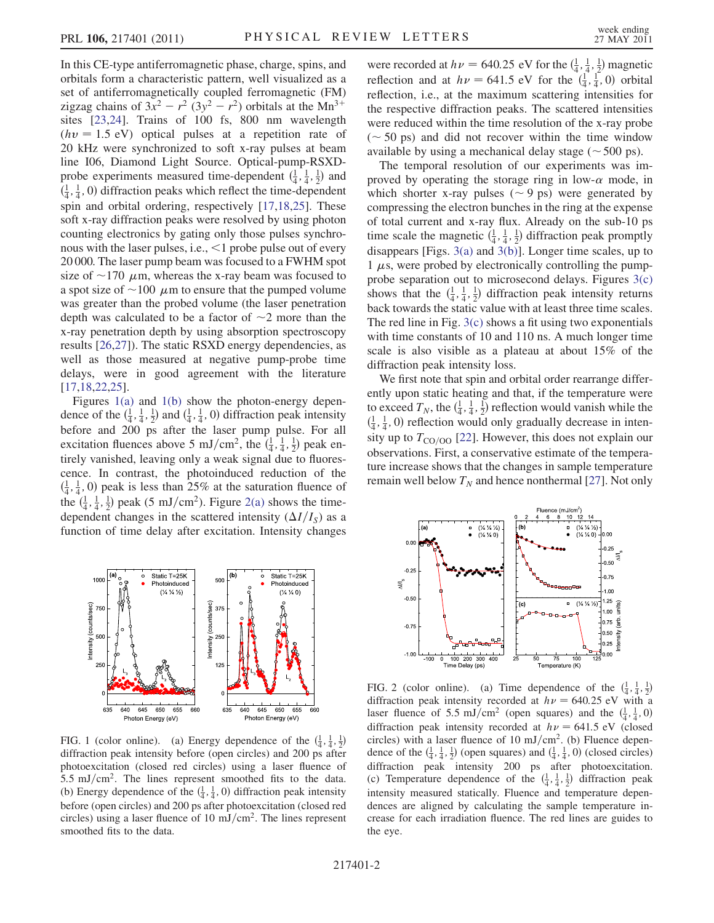In this CE-type antiferromagnetic phase, charge, spins, and orbitals form a characteristic pattern, well visualized as a set of antiferromagnetically coupled ferromagnetic (FM) zigzag chains of  $3x^2 - r^2 (3y^2 - r^2)$  orbitals at the Mn<sup>3+</sup> sites [[23](#page-3-14)[,24](#page-3-15)]. Trains of 100 fs, 800 nm wavelength  $(hv = 1.5 \text{ eV})$  optical pulses at a repetition rate of 20 kHz were synchronized to soft x-ray pulses at beam line I06, Diamond Light Source. Optical-pump-RSXDprobe experiments measured time-dependent  $(\frac{1}{4}, \frac{1}{4}, \frac{1}{2})$  and  $(\frac{1}{4}, \frac{1}{4}, 0)$  diffraction peaks which reflect the time-dependent spin and orbital ordering, respectively [\[17,](#page-3-12)[18,](#page-3-16)[25\]](#page-3-17). These soft x-ray diffraction peaks were resolved by using photon counting electronics by gating only those pulses synchronous with the laser pulses, i.e., <1 probe pulse out of every 20 000. The laser pump beam was focused to a FWHM spot size of  $\sim$ 170  $\mu$ m, whereas the x-ray beam was focused to a spot size of  $\sim$  100  $\,\mu$ m to ensure that the pumped volume was greater than the probed volume (the laser penetration depth was calculated to be a factor of  $\sim$ 2 more than the x-ray penetration depth by using absorption spectroscopy results [\[26](#page-3-18)[,27\]](#page-3-19)). The static RSXD energy dependencies, as well as those measured at negative pump-probe time delays, were in good agreement with the literature [\[17](#page-3-12)[,18,](#page-3-16)[22](#page-3-13),[25](#page-3-17)].

Figures [1\(a\)](#page-1-0) and [1\(b\)](#page-1-0) show the photon-energy dependence of the  $(\frac{1}{4}, \frac{1}{4}, \frac{1}{2})$  and  $(\frac{1}{4}, \frac{1}{4}, 0)$  diffraction peak intensity before and 200 ps after the laser pump pulse. For all excitation fluences above 5 mJ/cm<sup>2</sup>, the  $(\frac{1}{4}, \frac{1}{4}, \frac{1}{2})$  peak entirely vanished, leaving only a weak signal due to fluorescence. In contrast, the photoinduced reduction of the  $(\frac{1}{4}, \frac{1}{4}, 0)$  peak is less than 25% at the saturation fluence of the  $(\frac{1}{4}, \frac{1}{4}, \frac{1}{2})$  peak (5 mJ/cm<sup>2</sup>). Figure [2\(a\)](#page-1-1) shows the timedependent changes in the scattered intensity  $(\Delta I/I<sub>S</sub>)$  as a function of time delay after excitation. Intensity changes



<span id="page-1-0"></span>FIG. 1 (color online). (a) Energy dependence of the  $(\frac{1}{4}, \frac{1}{4}, \frac{1}{2})$ diffraction peak intensity before (open circles) and 200 ps after photoexcitation (closed red circles) using a laser fluence of 5.5 mJ/cm<sup>2</sup>. The lines represent smoothed fits to the data. (b) Energy dependence of the  $(\frac{1}{4}, \frac{1}{4}, 0)$  diffraction peak intensity before (open circles) and 200 ps after photoexcitation (closed red circles) using a laser fluence of 10 mJ/cm<sup>2</sup>. The lines represent smoothed fits to the data.

were recorded at  $h\nu = 640.25$  eV for the  $(\frac{1}{4}, \frac{1}{4}, \frac{1}{2})$  magnetic reflection and at  $h\nu = 641.5$  eV for the  $(\frac{1}{4}, \frac{1}{4}, 0)$  orbital reflection, i.e., at the maximum scattering intensities for the respective diffraction peaks. The scattered intensities were reduced within the time resolution of the x-ray probe  $({\sim} 50 \text{ ps})$  and did not recover within the time window available by using a mechanical delay stage  $(\sim 500 \text{ ps})$ .

The temporal resolution of our experiments was improved by operating the storage ring in low- $\alpha$  mode, in which shorter x-ray pulses ( $\sim$  9 ps) were generated by compressing the electron bunches in the ring at the expense of total current and x-ray flux. Already on the sub-10 ps time scale the magnetic  $(\frac{1}{4}, \frac{1}{4}, \frac{1}{2})$  diffraction peak promptly disappears [Figs. [3\(a\)](#page-2-0) and [3\(b\)](#page-2-0)]. Longer time scales, up to  $1 \mu s$ , were probed by electronically controlling the pumpprobe separation out to microsecond delays. Figures [3\(c\)](#page-2-0) shows that the  $(\frac{1}{4}, \frac{1}{4}, \frac{1}{2})$  diffraction peak intensity returns back towards the static value with at least three time scales. The red line in Fig.  $3(c)$  shows a fit using two exponentials with time constants of 10 and 110 ns. A much longer time scale is also visible as a plateau at about 15% of the diffraction peak intensity loss.

We first note that spin and orbital order rearrange differently upon static heating and that, if the temperature were to exceed  $T_N$ , the  $(\frac{1}{4}, \frac{1}{4}, \frac{1}{2})$  reflection would vanish while the  $(\frac{1}{4}, \frac{1}{4}, 0)$  reflection would only gradually decrease in intensity up to  $T_{\text{CO/O}}$  [\[22\]](#page-3-13). However, this does not explain our observations. First, a conservative estimate of the temperature increase shows that the changes in sample temperature remain well below  $T_N$  and hence nonthermal [\[27\]](#page-3-19). Not only



<span id="page-1-1"></span>FIG. 2 (color online). (a) Time dependence of the  $(\frac{1}{4}, \frac{1}{4}, \frac{1}{2})$ diffraction peak intensity recorded at  $h\nu = 640.25$  eV with a laser fluence of 5.5 mJ/cm<sup>2</sup> (open squares) and the  $(\frac{1}{4}, \frac{1}{4}, 0)$ diffraction peak intensity recorded at  $h\nu = 641.5$  eV (closed circles) with a laser fluence of 10 mJ/cm<sup>2</sup>. (b) Fluence dependence of the  $(\frac{1}{4}, \frac{1}{4}, \frac{1}{2})$  (open squares) and  $(\frac{1}{4}, \frac{1}{4}, 0)$  (closed circles) diffraction peak intensity 200 ps after photoexcitation. (c) Temperature dependence of the  $(\frac{1}{4}, \frac{1}{4}, \frac{1}{2})$  diffraction peak intensity measured statically. Fluence and temperature dependences are aligned by calculating the sample temperature increase for each irradiation fluence. The red lines are guides to the eye.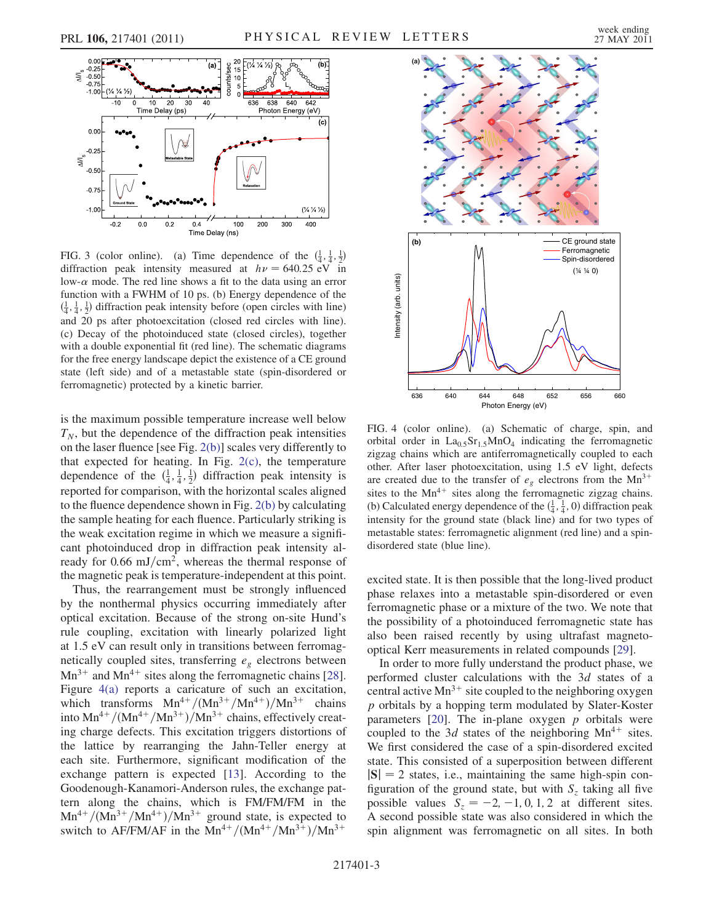

<span id="page-2-0"></span>FIG. 3 (color online). (a) Time dependence of the  $(\frac{1}{4}, \frac{1}{4}, \frac{1}{2})$ diffraction peak intensity measured at  $h\nu = 640.25 \text{ eV}$  in low- $\alpha$  mode. The red line shows a fit to the data using an error function with a FWHM of 10 ps. (b) Energy dependence of the  $(\frac{1}{4}, \frac{1}{4}, \frac{1}{2})$  diffraction peak intensity before (open circles with line) and 20 ps after photoexcitation (closed red circles with line). (c) Decay of the photoinduced state (closed circles), together with a double exponential fit (red line). The schematic diagrams for the free energy landscape depict the existence of a CE ground state (left side) and of a metastable state (spin-disordered or ferromagnetic) protected by a kinetic barrier.

is the maximum possible temperature increase well below  $T_N$ , but the dependence of the diffraction peak intensities on the laser fluence [see Fig. [2\(b\)](#page-1-1)] scales very differently to that expected for heating. In Fig.  $2(c)$ , the temperature dependence of the  $(\frac{1}{4}, \frac{1}{4}, \frac{1}{2})$  diffraction peak intensity is reported for comparison, with the horizontal scales aligned to the fluence dependence shown in Fig. [2\(b\)](#page-1-1) by calculating the sample heating for each fluence. Particularly striking is the weak excitation regime in which we measure a significant photoinduced drop in diffraction peak intensity already for 0.66 mJ/cm<sup>2</sup>, whereas the thermal response of the magnetic peak is temperature-independent at this point.

Thus, the rearrangement must be strongly influenced by the nonthermal physics occurring immediately after optical excitation. Because of the strong on-site Hund's rule coupling, excitation with linearly polarized light at 1.5 eV can result only in transitions between ferromagnetically coupled sites, transferring  $e<sub>g</sub>$  electrons between  $Mn^{3+}$  and  $Mn^{4+}$  sites along the ferromagnetic chains [[28\]](#page-3-20). Figure [4\(a\)](#page-2-1) reports a caricature of such an excitation, which transforms  $Mn^{4+}/(Mn^{3+}/Mn^{4+})/Mn^{3+}$  chains into  $Mn^{4+}/(Mn^{4+}/Mn^{3+})/Mn^{3+}$  chains, effectively creating charge defects. This excitation triggers distortions of the lattice by rearranging the Jahn-Teller energy at each site. Furthermore, significant modification of the exchange pattern is expected [\[13\]](#page-3-9). According to the Goodenough-Kanamori-Anderson rules, the exchange pattern along the chains, which is FM/FM/FM in the  $Mn^{4+}/(Mn^{3+}/Mn^{4+})/Mn^{3+}$  ground state, is expected to switch to AF/FM/AF in the Mn<sup>4+</sup>/(Mn<sup>4+</sup>/Mn<sup>3+</sup>)/Mn<sup>3+</sup>



<span id="page-2-1"></span>FIG. 4 (color online). (a) Schematic of charge, spin, and orbital order in  $La<sub>0.5</sub>Sr<sub>1.5</sub>MnO<sub>4</sub>$  indicating the ferromagnetic zigzag chains which are antiferromagnetically coupled to each other. After laser photoexcitation, using 1.5 eV light, defects are created due to the transfer of  $e<sub>g</sub>$  electrons from the Mn<sup>3+</sup> sites to the  $Mn^{4+}$  sites along the ferromagnetic zigzag chains. (b) Calculated energy dependence of the  $(\frac{1}{4}, \frac{1}{4}, 0)$  diffraction peak intensity for the ground state (black line) and for two types of metastable states: ferromagnetic alignment (red line) and a spindisordered state (blue line).

excited state. It is then possible that the long-lived product phase relaxes into a metastable spin-disordered or even ferromagnetic phase or a mixture of the two. We note that the possibility of a photoinduced ferromagnetic state has also been raised recently by using ultrafast magnetooptical Kerr measurements in related compounds [\[29\]](#page-3-21).

In order to more fully understand the product phase, we performed cluster calculations with the 3d states of a central active  $Mn^{3+}$  site coupled to the neighboring oxygen p orbitals by a hopping term modulated by Slater-Koster parameters  $[20]$ . The in-plane oxygen p orbitals were coupled to the 3d states of the neighboring  $Mn^{4+}$  sites. We first considered the case of a spin-disordered excited state. This consisted of a superposition between different  $|S| = 2$  states, i.e., maintaining the same high-spin configuration of the ground state, but with  $S<sub>z</sub>$  taking all five possible values  $S_z = -2, -1, 0, 1, 2$  at different sites. A second possible state was also considered in which the spin alignment was ferromagnetic on all sites. In both